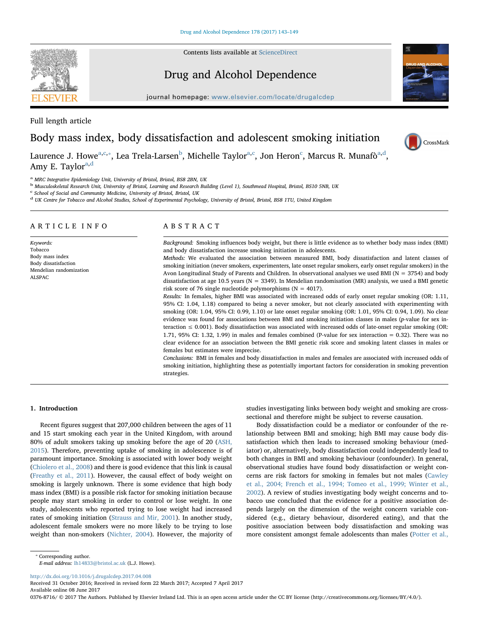Contents lists available at [ScienceDirect](http://www.sciencedirect.com/science/journal/03768716)

Drug and Alcohol Dependence

journal homepage: [www.elsevier.com/locate/drugalcdep](http://www.elsevier.com/locate/drugalcdep)

Full length article Body mass index, body dissatisfaction and adolescent smoking initiation



L[a](#page-0-0)urence J. Howe<sup>a[,c](#page-0-1),</sup>\*, Lea Trela-Larsen<sup>[b](#page-0-3)</sup>, Mi[c](#page-0-1)helle Taylor<sup>[a,](#page-0-0)c</sup>, Jon Heron<sup>c</sup>, Marcus R. Munafò<sup>a,[d](#page-0-4)</sup>, Amy E. Taylor $a,d$  $a,d$ 

<span id="page-0-0"></span><sup>a</sup> MRC Integrative Epidemiology Unit, University of Bristol, Bristol, BS8 2BN, UK

<span id="page-0-3"></span><sup>b</sup> Musculoskeletal Research Unit, University of Bristol, Learning and Research Building (Level 1), Southmead Hospital, Bristol, BS10 5NB, UK

<span id="page-0-1"></span><sup>c</sup> School of Social and Community Medicine, University of Bristol, Bristol, UK

<span id="page-0-4"></span><sup>d</sup> UK Centre for Tobacco and Alcohol Studies, School of Experimental Psychology, University of Bristol, Bristol, BS8 1TU, United Kingdom

# ARTICLE INFO

Keywords: Tobacco Body mass index Body dissatisfaction Mendelian randomization ALSPAC

# ABSTRACT

Background: Smoking influences body weight, but there is little evidence as to whether body mass index (BMI) and body dissatisfaction increase smoking initiation in adolescents.

Methods: We evaluated the association between measured BMI, body dissatisfaction and latent classes of smoking initiation (never smokers, experimenters, late onset regular smokers, early onset regular smokers) in the Avon Longitudinal Study of Parents and Children. In observational analyses we used BMI (N = 3754) and body dissatisfaction at age 10.5 years ( $N = 3349$ ). In Mendelian randomisation (MR) analysis, we used a BMI genetic risk score of 76 single nucleotide polymorphisms ( $N = 4017$ ).

Results: In females, higher BMI was associated with increased odds of early onset regular smoking (OR: 1.11, 95% CI: 1.04, 1.18) compared to being a never smoker, but not clearly associated with experimenting with smoking (OR: 1.04, 95% CI: 0.99, 1.10) or late onset regular smoking (OR: 1.01, 95% CI: 0.94, 1.09). No clear evidence was found for associations between BMI and smoking initiation classes in males (p-value for sex interaction ≤ 0.001). Body dissatisfaction was associated with increased odds of late-onset regular smoking (OR: 1.71, 95% CI: 1.32, 1.99) in males and females combined (P-value for sex interaction = 0.32). There was no clear evidence for an association between the BMI genetic risk score and smoking latent classes in males or females but estimates were imprecise.

Conclusions: BMI in females and body dissatisfaction in males and females are associated with increased odds of smoking initiation, highlighting these as potentially important factors for consideration in smoking prevention strategies.

# 1. Introduction

Recent figures suggest that 207,000 children between the ages of 11 and 15 start smoking each year in the United Kingdom, with around 80% of adult smokers taking up smoking before the age of 20 ([ASH,](#page-5-0) [2015\)](#page-5-0). Therefore, preventing uptake of smoking in adolescence is of paramount importance. Smoking is associated with lower body weight ([Chiolero et al., 2008](#page-5-1)) and there is good evidence that this link is causal ([Freathy et al., 2011\)](#page-5-2). However, the causal effect of body weight on smoking is largely unknown. There is some evidence that high body mass index (BMI) is a possible risk factor for smoking initiation because people may start smoking in order to control or lose weight. In one study, adolescents who reported trying to lose weight had increased rates of smoking initiation ([Strauss and Mir, 2001\)](#page-6-0). In another study, adolescent female smokers were no more likely to be trying to lose weight than non-smokers [\(Nichter, 2004\)](#page-6-1). However, the majority of studies investigating links between body weight and smoking are crosssectional and therefore might be subject to reverse causation.

Body dissatisfaction could be a mediator or confounder of the relationship between BMI and smoking; high BMI may cause body dissatisfaction which then leads to increased smoking behaviour (mediator) or, alternatively, body dissatisfaction could independently lead to both changes in BMI and smoking behaviour (confounder). In general, observational studies have found body dissatisfaction or weight concerns are risk factors for smoking in females but not males ([Cawley](#page-5-3) [et al., 2004; French et al., 1994; Tomeo et al., 1999; Winter et al.,](#page-5-3) [2002\)](#page-5-3). A review of studies investigating body weight concerns and tobacco use concluded that the evidence for a positive association depends largely on the dimension of the weight concern variable considered (e.g., dietary behaviour, disordered eating), and that the positive association between body dissatisfaction and smoking was more consistent amongst female adolescents than males ([Potter et al.,](#page-6-2)

E-mail address: [lh14833@bristol.ac.uk](mailto:lh14833@bristol.ac.uk) (L.J. Howe).

<http://dx.doi.org/10.1016/j.drugalcdep.2017.04.008>

Received 31 October 2016; Received in revised form 22 March 2017; Accepted 7 April 2017

Available online 08 June 2017

0376-8716/ © 2017 The Authors. Published by Elsevier Ireland Ltd. This is an open access article under the CC BY license (http://creativecommons.org/licenses/BY/4.0/).



<span id="page-0-2"></span><sup>⁎</sup> Corresponding author.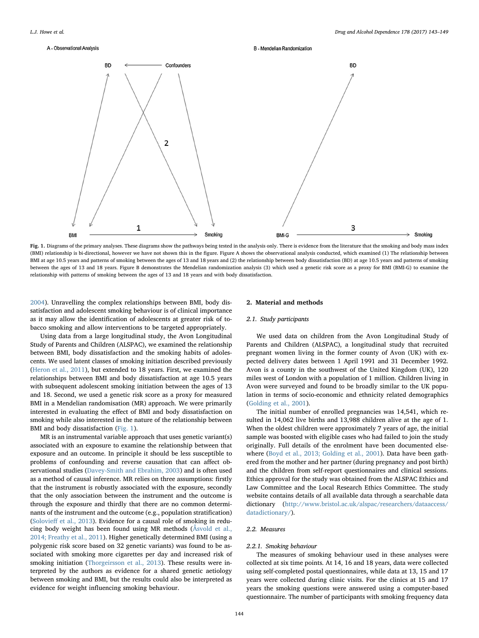#### <span id="page-1-0"></span>A - Observational Analysis



**B. Mendelian Randomization** 

Fig. 1. Diagrams of the primary analyses. These diagrams show the pathways being tested in the analysis only. There is evidence from the literature that the smoking and body mass index (BMI) relationship is bi-directional, however we have not shown this in the figure. Figure A shows the observational analysis conducted, which examined (1) The relationship between BMI at age 10.5 years and patterns of smoking between the ages of 13 and 18 years and (2) the relationship between body dissatisfaction (BD) at age 10.5 years and patterns of smoking between the ages of 13 and 18 years. Figure B demonstrates the Mendelian randomization analysis (3) which used a genetic risk score as a proxy for BMI (BMI-G) to examine the relationship with patterns of smoking between the ages of 13 and 18 years and with body dissatisfaction.

[2004\)](#page-6-2). Unravelling the complex relationships between BMI, body dissatisfaction and adolescent smoking behaviour is of clinical importance as it may allow the identification of adolescents at greater risk of tobacco smoking and allow interventions to be targeted appropriately.

Using data from a large longitudinal study, the Avon Longitudinal Study of Parents and Children (ALSPAC), we examined the relationship between BMI, body dissatisfaction and the smoking habits of adolescents. We used latent classes of smoking initiation described previously ([Heron et al., 2011\)](#page-5-4), but extended to 18 years. First, we examined the relationships between BMI and body dissatisfaction at age 10.5 years with subsequent adolescent smoking initiation between the ages of 13 and 18. Second, we used a genetic risk score as a proxy for measured BMI in a Mendelian randomisation (MR) approach. We were primarily interested in evaluating the effect of BMI and body dissatisfaction on smoking while also interested in the nature of the relationship between BMI and body dissatisfaction [\(Fig. 1](#page-1-0)).

MR is an instrumental variable approach that uses genetic variant(s) associated with an exposure to examine the relationship between that exposure and an outcome. In principle it should be less susceptible to problems of confounding and reverse causation that can affect observational studies [\(Davey-Smith and Ebrahim, 2003\)](#page-5-5) and is often used as a method of causal inference. MR relies on three assumptions: firstly that the instrument is robustly associated with the exposure, secondly that the only association between the instrument and the outcome is through the exposure and thirdly that there are no common determinants of the instrument and the outcome (e.g., population stratification) (Solovieff [et al., 2013](#page-6-3)). Evidence for a causal role of smoking in reducing body weight has been found using MR methods ([Åsvold et al.,](#page-5-6) [2014; Freathy et al., 2011](#page-5-6)). Higher genetically determined BMI (using a polygenic risk score based on 32 genetic variants) was found to be associated with smoking more cigarettes per day and increased risk of smoking initiation [\(Thorgeirsson et al., 2013](#page-6-4)). These results were interpreted by the authors as evidence for a shared genetic aetiology between smoking and BMI, but the results could also be interpreted as evidence for weight influencing smoking behaviour.

## 2. Material and methods

## 2.1. Study participants

We used data on children from the Avon Longitudinal Study of Parents and Children (ALSPAC), a longitudinal study that recruited pregnant women living in the former county of Avon (UK) with expected delivery dates between 1 April 1991 and 31 December 1992. Avon is a county in the southwest of the United Kingdom (UK), 120 miles west of London with a population of 1 million. Children living in Avon were surveyed and found to be broadly similar to the UK population in terms of socio-economic and ethnicity related demographics ([Golding et al., 2001\)](#page-5-7).

The initial number of enrolled pregnancies was 14,541, which resulted in 14,062 live births and 13,988 children alive at the age of 1. When the oldest children were approximately 7 years of age, the initial sample was boosted with eligible cases who had failed to join the study originally. Full details of the enrolment have been documented elsewhere [\(Boyd et al., 2013; Golding et al., 2001](#page-5-8)). Data have been gathered from the mother and her partner (during pregnancy and post birth) and the children from self-report questionnaires and clinical sessions. Ethics approval for the study was obtained from the ALSPAC Ethics and Law Committee and the Local Research Ethics Committee. The study website contains details of all available data through a searchable data dictionary [\(http://www.bristol.ac.uk/alspac/researchers/dataaccess/](http://www.bristol.ac.uk/alspac/researchers/dataaccess/datadictionary/) [datadictionary/\)](http://www.bristol.ac.uk/alspac/researchers/dataaccess/datadictionary/).

# 2.2. Measures

## 2.2.1. Smoking behaviour

The measures of smoking behaviour used in these analyses were collected at six time points. At 14, 16 and 18 years, data were collected using self-completed postal questionnaires, while data at 13, 15 and 17 years were collected during clinic visits. For the clinics at 15 and 17 years the smoking questions were answered using a computer-based questionnaire. The number of participants with smoking frequency data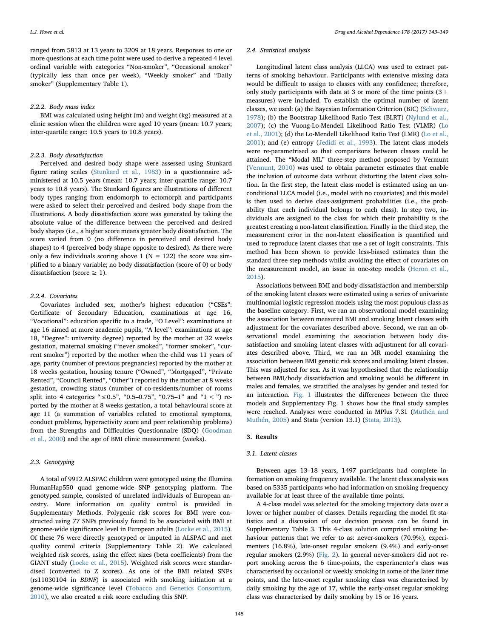ranged from 5813 at 13 years to 3209 at 18 years. Responses to one or more questions at each time point were used to derive a repeated 4 level ordinal variable with categories "Non-smoker", "Occasional smoker" (typically less than once per week), "Weekly smoker" and "Daily smoker" (Supplementary Table 1).

### 2.2.2. Body mass index

BMI was calculated using height (m) and weight (kg) measured at a clinic session when the children were aged 10 years (mean: 10.7 years; inter-quartile range: 10.5 years to 10.8 years).

## 2.2.3. Body dissatisfaction

Perceived and desired body shape were assessed using Stunkard figure rating scales [\(Stunkard et al., 1983](#page-6-5)) in a questionnaire administered at 10.5 years (mean: 10.7 years; inter-quartile range: 10.7 years to 10.8 years). The Stunkard figures are illustrations of different body types ranging from endomorph to ectomorph and participants were asked to select their perceived and desired body shape from the illustrations. A body dissatisfaction score was generated by taking the absolute value of the difference between the perceived and desired body shapes (i.e., a higher score means greater body dissatisfaction. The score varied from 0 (no difference in perceived and desired body shapes) to 4 (perceived body shape opposite to desired). As there were only a few individuals scoring above 1 ( $N = 122$ ) the score was simplified to a binary variable; no body dissatisfaction (score of 0) or body dissatisfaction (score  $\geq$  1).

## 2.2.4. Covariates

Covariates included sex, mother's highest education ("CSEs": Certificate of Secondary Education, examinations at age 16, "Vocational": education specific to a trade, "O Level": examinations at age 16 aimed at more academic pupils, "A level": examinations at age 18, "Degree": university degree) reported by the mother at 32 weeks gestation, maternal smoking ("never smoked", "former smoker", "current smoker") reported by the mother when the child was 11 years of age, parity (number of previous pregnancies) reported by the mother at 18 weeks gestation, housing tenure ("Owned", "Mortgaged", "Private Rented", "Council Rented", "Other") reported by the mother at 8 weeks gestation, crowding status (number of co-residents/number of rooms split into 4 categories "≤0.5", "0.5–0.75", "0.75–1" and "1 < ") reported by the mother at 8 weeks gestation, a total behavioural score at age 11 (a summation of variables related to emotional symptoms, conduct problems, hyperactivity score and peer relationship problems) from the Strengths and Difficulties Questionnaire (SDQ) ([Goodman](#page-5-9) [et al., 2000](#page-5-9)) and the age of BMI clinic measurement (weeks).

# 2.3. Genotyping

A total of 9912 ALSPAC children were genotyped using the Illumina HumanHap550 quad genome-wide SNP genotyping platform. The genotyped sample, consisted of unrelated individuals of European ancestry. More information on quality control is provided in Supplementary Methods. Polygenic risk scores for BMI were constructed using 77 SNPs previously found to be associated with BMI at genome-wide significance level in European adults [\(Locke et al., 2015](#page-5-10)). Of these 76 were directly genotyped or imputed in ALSPAC and met quality control criteria (Supplementary Table 2). We calculated weighted risk scores, using the effect sizes (beta coefficients) from the GIANT study ([Locke et al., 2015\)](#page-5-10). Weighted risk scores were standardised (converted to Z scores). As one of the BMI related SNPs (rs11030104 in BDNF) is associated with smoking initiation at a genome-wide significance level ([Tobacco and Genetics Consortium,](#page-6-6) [2010\)](#page-6-6), we also created a risk score excluding this SNP.

#### 2.4. Statistical analysis

Longitudinal latent class analysis (LLCA) was used to extract patterns of smoking behaviour. Participants with extensive missing data would be difficult to assign to classes with any confidence; therefore, only study participants with data at 3 or more of the time points  $(3+)$ measures) were included. To establish the optimal number of latent classes, we used: (a) the Bayesian Information Criterion (BIC) ([Schwarz,](#page-6-7) [1978\)](#page-6-7); (b) the Bootstrap Likelihood Ratio Test (BLRT) [\(Nylund et al.,](#page-6-8) [2007\)](#page-6-8); (c) the Vuong-Lo-Mendell Likelihood Ratio Test (VLMR) [\(Lo](#page-5-11) et [al., 2001\)](#page-5-11); (d) the Lo-Mendell Likelihood Ratio Test (LMR) [\(Lo et al.,](#page-5-11) [2001\)](#page-5-11); and (e) entropy ([Jedidi et al., 1993\)](#page-5-12). The latent class models were re-parametrised so that comparisons between classes could be attained. The "Modal ML" three-step method proposed by Vermunt ([Vermunt, 2010\)](#page-6-9) was used to obtain parameter estimates that enable the inclusion of outcome data without distorting the latent class solution. In the first step, the latent class model is estimated using an unconditional LLCA model (i.e., model with no covariates) and this model is then used to derive class-assignment probabilities (i.e., the probability that each individual belongs to each class). In step two, individuals are assigned to the class for which their probability is the greatest creating a non-latent classification. Finally in the third step, the measurement error in the non-latent classification is quantified and used to reproduce latent classes that use a set of logit constraints. This method has been shown to provide less-biased estimates than the standard three-step methods whilst avoiding the effect of covariates on the measurement model, an issue in one-step models ([Heron et al.,](#page-5-13) [2015\)](#page-5-13).

Associations between BMI and body dissatisfaction and membership of the smoking latent classes were estimated using a series of univariate multinomial logistic regression models using the most populous class as the baseline category. First, we ran an observational model examining the association between measured BMI and smoking latent classes with adjustment for the covariates described above. Second, we ran an observational model examining the association between body dissatisfaction and smoking latent classes with adjustment for all covariates described above. Third, we ran an MR model examining the association between BMI genetic risk scores and smoking latent classes. This was adjusted for sex. As it was hypothesised that the relationship between BMI/body dissatisfaction and smoking would be different in males and females, we stratified the analyses by gender and tested for an interaction. [Fig. 1](#page-1-0) illustrates the differences between the three models and Supplementary Fig. 1 shows how the final study samples were reached. Analyses were conducted in MPlus 7.31 ([Muthén and](#page-5-14) [Muthén, 2005\)](#page-5-14) and Stata (version 13.1) [\(Stata, 2013\)](#page-6-10).

#### 3. Results

## 3.1. Latent classes

Between ages 13–18 years, 1497 participants had complete information on smoking frequency available. The latent class analysis was based on 5335 participants who had information on smoking frequency available for at least three of the available time points.

A 4-class model was selected for the smoking trajectory data over a lower or higher number of classes. Details regarding the model fit statistics and a discussion of our decision process can be found in Supplementary Table 3. This 4-class solution comprised smoking behaviour patterns that we refer to as: never-smokers (70.9%), experimenters (16.8%), late-onset regular smokers (9.4%) and early-onset regular smokers (2.9%) ([Fig. 2](#page-3-0)). In general never-smokers did not report smoking across the 6 time-points, the experimenter's class was characterised by occasional or weekly smoking in some of the later time points, and the late-onset regular smoking class was characterised by daily smoking by the age of 17, while the early-onset regular smoking class was characterised by daily smoking by 15 or 16 years.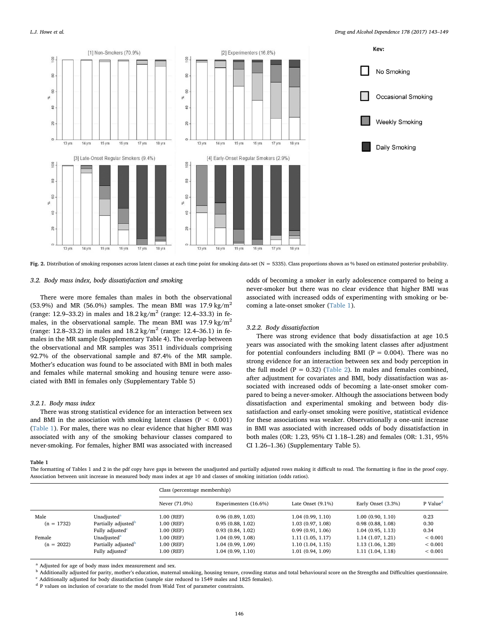<span id="page-3-0"></span>

Fig. 2. Distribution of smoking responses across latent classes at each time point for smoking data-set (N = 5335). Class proportions shown as % based on estimated posterior probability.

## 3.2. Body mass index, body dissatisfaction and smoking

There were more females than males in both the observational (53.9%) and MR (56.0%) samples. The mean BMI was  $17.9 \text{ kg/m}^2$ (range: 12.9–33.2) in males and  $18.2 \text{ kg/m}^2$  (range: 12.4–33.3) in females, in the observational sample. The mean BMI was  $17.9 \text{ kg/m}^2$ (range: 12.8–33.2) in males and  $18.2 \text{ kg/m}^2$  (range: 12.4–36.1) in females in the MR sample (Supplementary Table 4). The overlap between the observational and MR samples was 3511 individuals comprising 92.7% of the observational sample and 87.4% of the MR sample. Mother's education was found to be associated with BMI in both males and females while maternal smoking and housing tenure were associated with BMI in females only (Supplementary Table 5)

#### 3.2.1. Body mass index

There was strong statistical evidence for an interaction between sex and BMI in the association with smoking latent classes (P < 0.001) ([Table 1](#page-3-1)). For males, there was no clear evidence that higher BMI was associated with any of the smoking behaviour classes compared to never-smoking. For females, higher BMI was associated with increased

odds of becoming a smoker in early adolescence compared to being a never-smoker but there was no clear evidence that higher BMI was associated with increased odds of experimenting with smoking or becoming a late-onset smoker ([Table 1\)](#page-3-1).

## 3.2.2. Body dissatisfaction

There was strong evidence that body dissatisfaction at age 10.5 years was associated with the smoking latent classes after adjustment for potential confounders including BMI ( $P = 0.004$ ). There was no strong evidence for an interaction between sex and body perception in the full model ( $P = 0.32$ ) [\(Table 2\)](#page-4-0). In males and females combined, after adjustment for covariates and BMI, body dissatisfaction was associated with increased odds of becoming a late-onset smoker compared to being a never-smoker. Although the associations between body dissatisfaction and experimental smoking and between body dissatisfaction and early-onset smoking were positive, statistical evidence for these associations was weaker. Observationally a one-unit increase in BMI was associated with increased odds of body dissatisfaction in both males (OR: 1.23, 95% CI 1.18–1.28) and females (OR: 1.31, 95% CI 1.26–1.36) (Supplementary Table 5).

<span id="page-3-1"></span>Table 1

The formatting of Tables 1 and 2 in the pdf copy have gaps in between the unadjusted and partially adjusted rows making it difficult to read. The formatting is fine in the proof copy. Association between unit increase in measured body mass index at age 10 and classes of smoking initiation (odds ratios).

|              |                                 | Class (percentage membership) |                       |                      |                    |                      |  |
|--------------|---------------------------------|-------------------------------|-----------------------|----------------------|--------------------|----------------------|--|
|              |                                 | Never (71.0%)                 | Experimenters (16.6%) | Late Onset $(9.1\%)$ | Early Onset (3.3%) | P Value <sup>d</sup> |  |
| Male         | Unadjusted <sup>a</sup>         | 1.00 (REF)                    | 0.96(0.89, 1.03)      | 1.04(0.99, 1.10)     | 1.00(0.90, 1.10)   | 0.23                 |  |
| $(n = 1732)$ | Partially adjusted <sup>b</sup> | 1.00 (REF)                    | 0.95(0.88, 1.02)      | 1.03(0.97, 1.08)     | 0.98(0.88, 1.08)   | 0.30                 |  |
|              | Fully adjusted <sup>c</sup>     | 1.00 (REF)                    | 0.93(0.84, 1.02)      | 0.99(0.91, 1.06)     | 1.04(0.95, 1.13)   | 0.34                 |  |
| Female       | Unadjusted <sup>a</sup>         | 1.00 (REF)                    | 1.04(0.99, 1.08)      | 1.11(1.05, 1.17)     | 1.14(1.07, 1.21)   | ${}< 0.001$          |  |
| $(n = 2022)$ | Partially adjusted <sup>b</sup> | 1.00 (REF)                    | 1.04 (0.99, 1.09)     | 1.10(1.04, 1.15)     | 1.13(1.06, 1.20)   | ${}< 0.001$          |  |
|              | Fully adjusted <sup>c</sup>     | 1.00 (REF)                    | 1.04(0.99, 1.10)      | 1.01(0.94, 1.09)     | 1.11(1.04, 1.18)   | ${}< 0.001$          |  |

<span id="page-3-3"></span><sup>a</sup> Adjusted for age of body mass index measurement and sex.

<span id="page-3-4"></span><sup>b</sup> Additionally adjusted for parity, mother's education, maternal smoking, housing tenure, crowding status and total behavioural score on the Strengths and Difficulties questionnaire.  $c$  Additionally adjusted for body dissatisfaction (sample size reduced to 1549 males and 1825 females).

<span id="page-3-5"></span><span id="page-3-2"></span>

<sup>d</sup> P values on inclusion of covariate to the model from Wald Test of parameter constraints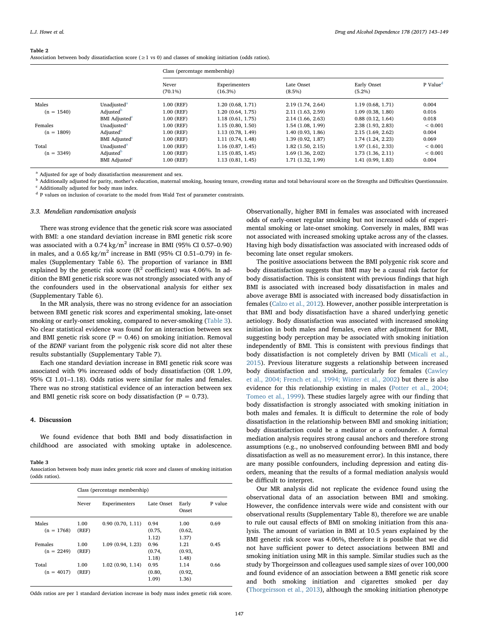#### <span id="page-4-0"></span>Table 2

Association between body dissatisfaction score  $(>1 \text{ vs } 0)$  and classes of smoking initiation (odds ratios).

|              |                                  | Class (percentage membership) |                             |                         |                          |                      |  |
|--------------|----------------------------------|-------------------------------|-----------------------------|-------------------------|--------------------------|----------------------|--|
|              |                                  | Never<br>$(70.1\%)$           | Experimenters<br>$(16.3\%)$ | Late Onset<br>$(8.5\%)$ | Early Onset<br>$(5.2\%)$ | P Value <sup>d</sup> |  |
| Males        | Unadjusted <sup>a</sup>          | 1.00 (REF)                    | 1.20 (0.68, 1.71)           | 2.19 (1.74, 2.64)       | 1.19 (0.68, 1.71)        | 0.004                |  |
| $(n = 1540)$ | Adjusted <sup>b</sup>            | 1.00 (REF)                    | 1.20 (0.64, 1.75)           | 2.11 (1.63, 2.59)       | 1.09(0.38, 1.80)         | 0.016                |  |
|              | <b>BMI</b> Adjusted <sup>c</sup> | 1.00 (REF)                    | 1.18(0.61, 1.75)            | 2.14(1.66, 2.63)        | 0.88(0.12, 1.64)         | 0.018                |  |
| Females      | Unadjusted <sup>a</sup>          | 1.00 (REF)                    | 1.15(0.80, 1.50)            | 1.54(1.08, 1.99)        | 2.38 (1.93, 2.83)        | ${}< 0.001$          |  |
| $(n = 1809)$ | Adjusted <sup>b</sup>            | 1.00 (REF)                    | 1.13(0.78, 1.49)            | 1.40(0.93, 1.86)        | 2.15(1.69, 2.62)         | 0.004                |  |
|              | <b>BMI</b> Adjusted <sup>c</sup> | 1.00 (REF)                    | 1.11(0.74, 1.48)            | 1.39(0.92, 1.87)        | 1.74(1.24, 2.23)         | 0.069                |  |
| Total        | Unadjusted <sup>a</sup>          | 1.00 (REF)                    | 1.16(0.87, 1.45)            | $1.82$ (1.50, 2.15)     | 1.97(1.61, 2.33)         | ${}< 0.001$          |  |
| $(n = 3349)$ | Adjusted <sup>b</sup>            | 1.00 (REF)                    | 1.15(0.85, 1.45)            | 1.69(1.36, 2.02)        | 1.73(1.36, 2.11)         | ${}< 0.001$          |  |
|              | <b>BMI</b> Adjusted <sup>c</sup> | 1.00 (REF)                    | 1.13(0.81, 1.45)            | 1.71 (1.32, 1.99)       | 1.41(0.99, 1.83)         | 0.004                |  |

<span id="page-4-3"></span><sup>a</sup> Adjusted for age of body dissatisfaction measurement and sex.

<span id="page-4-5"></span><span id="page-4-4"></span><sup>b</sup> Additionally adjusted for parity, mother's education, maternal smoking, housing tenure, crowding status and total behavioural score on the Strengths and Difficulties Questionnaire.  $\,^{\rm c}$  Additionally adjusted for body mass index.

<span id="page-4-2"></span><sup>d</sup> P values on inclusion of covariate to the model from Wald Test of parameter constraints

#### 3.3. Mendelian randomisation analysis

There was strong evidence that the genetic risk score was associated with BMI: a one standard deviation increase in BMI genetic risk score was associated with a  $0.74 \text{ kg/m}^2$  increase in BMI (95% CI 0.57-0.90) in males, and a  $0.65 \text{ kg/m}^2$  increase in BMI (95% CI 0.51-0.79) in females (Supplementary Table 6). The proportion of variance in BMI explained by the genetic risk score  $(R^2 \text{ coefficient})$  was 4.06%. In addition the BMI genetic risk score was not strongly associated with any of the confounders used in the observational analysis for either sex (Supplementary Table 6).

In the MR analysis, there was no strong evidence for an association between BMI genetic risk scores and experimental smoking, late-onset smoking or early-onset smoking, compared to never-smoking [\(Table 3](#page-4-1)). No clear statistical evidence was found for an interaction between sex and BMI genetic risk score ( $P = 0.46$ ) on smoking initiation. Removal of the BDNF variant from the polygenic risk score did not alter these results substantially (Supplementary Table 7).

Each one standard deviation increase in BMI genetic risk score was associated with 9% increased odds of body dissatisfaction (OR 1.09, 95% CI 1.01–1.18). Odds ratios were similar for males and females. There was no strong statistical evidence of an interaction between sex and BMI genetic risk score on body dissatisfaction ( $P = 0.73$ ).

## 4. Discussion

We found evidence that both BMI and body dissatisfaction in childhood are associated with smoking uptake in adolescence.

#### <span id="page-4-1"></span>Table 3

Association between body mass index genetic risk score and classes of smoking initiation (odds ratios).

|                         | Class (percentage membership) |                  |                         |                         |         |  |  |
|-------------------------|-------------------------------|------------------|-------------------------|-------------------------|---------|--|--|
|                         | Never                         | Experimenters    | Late Onset              | Early<br>Onset          | P value |  |  |
| Males<br>$(n = 1768)$   | 1.00<br>(REF)                 | 0.90(0.70, 1.11) | 0.94<br>(0.75,<br>1.12) | 1.00<br>(0.62,<br>1.37) | 0.69    |  |  |
| Females<br>$(n = 2249)$ | 1.00<br>(REF)                 | 1.09(0.94, 1.23) | 0.96<br>(0.74,<br>1.18) | 1.21<br>(0.93,<br>1.48) | 0.45    |  |  |
| Total<br>$(n = 4017)$   | 1.00<br>(REF)                 | 1.02(0.90, 1.14) | 0.95<br>(0.80,<br>1.09) | 1.14<br>(0.92,<br>1.36) | 0.66    |  |  |

Odds ratios are per 1 standard deviation increase in body mass index genetic risk score.

Observationally, higher BMI in females was associated with increased odds of early-onset regular smoking but not increased odds of experimental smoking or late-onset smoking. Conversely in males, BMI was not associated with increased smoking uptake across any of the classes. Having high body dissatisfaction was associated with increased odds of becoming late onset regular smokers.

The positive associations between the BMI polygenic risk score and body dissatisfaction suggests that BMI may be a causal risk factor for body dissatisfaction. This is consistent with previous findings that high BMI is associated with increased body dissatisfaction in males and above average BMI is associated with increased body dissatisfaction in females [\(Calzo et al., 2012\)](#page-5-15). However, another possible interpretation is that BMI and body dissatisfaction have a shared underlying genetic aetiology. Body dissatisfaction was associated with increased smoking initiation in both males and females, even after adjustment for BMI, suggesting body perception may be associated with smoking initiation independently of BMI. This is consistent with previous findings that body dissatisfaction is not completely driven by BMI [\(Micali et al.,](#page-5-16) [2015\)](#page-5-16). Previous literature suggests a relationship between increased body dissatisfaction and smoking, particularly for females ([Cawley](#page-5-3) [et al., 2004; French et al., 1994; Winter et al., 2002\)](#page-5-3) but there is also evidence for this relationship existing in males [\(Potter et al., 2004;](#page-6-2) [Tomeo et al., 1999\)](#page-6-2). These studies largely agree with our finding that body dissatisfaction is strongly associated with smoking initiation in both males and females. It is difficult to determine the role of body dissatisfaction in the relationship between BMI and smoking initiation; body dissatisfaction could be a mediator or a confounder. A formal mediation analysis requires strong causal anchors and therefore strong assumptions (e.g., no unobserved confounding between BMI and body dissatisfaction as well as no measurement error). In this instance, there are many possible confounders, including depression and eating disorders, meaning that the results of a formal mediation analysis would be difficult to interpret.

Our MR analysis did not replicate the evidence found using the observational data of an association between BMI and smoking. However, the confidence intervals were wide and consistent with our observational results (Supplementary Table 8), therefore we are unable to rule out causal effects of BMI on smoking initiation from this analysis. The amount of variation in BMI at 10.5 years explained by the BMI genetic risk score was 4.06%, therefore it is possible that we did not have sufficient power to detect associations between BMI and smoking initiation using MR in this sample. Similar studies such as the study by Thorgeirsson and colleagues used sample sizes of over 100,000 and found evidence of an association between a BMI genetic risk score and both smoking initiation and cigarettes smoked per day ([Thorgeirsson et al., 2013](#page-6-4)), although the smoking initiation phenotype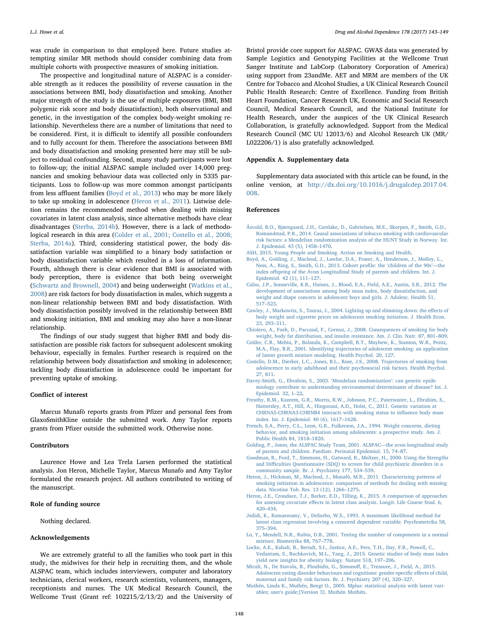was crude in comparison to that employed here. Future studies attempting similar MR methods should consider combining data from multiple cohorts with prospective measures of smoking initiation.

The prospective and longitudinal nature of ALSPAC is a considerable strength as it reduces the possibility of reverse causation in the associations between BMI, body dissatisfaction and smoking. Another major strength of the study is the use of multiple exposures (BMI, BMI polygenic risk score and body dissatisfaction), both observational and genetic, in the investigation of the complex body-weight smoking relationship. Nevertheless there are a number of limitations that need to be considered. First, it is difficult to identify all possible confounders and to fully account for them. Therefore the associations between BMI and body dissatisfaction and smoking presented here may still be subject to residual confounding. Second, many study participants were lost to follow-up; the initial ALSPAC sample included over 14,000 pregnancies and smoking behaviour data was collected only in 5335 participants. Loss to follow-up was more common amongst participants from less affluent families [\(Boyd et al., 2013](#page-5-8)) who may be more likely to take up smoking in adolescence ([Heron et al., 2011](#page-5-4)). Listwise deletion remains the recommended method when dealing with missing covariates in latent class analysis, since alternative methods have clear disadvantages [\(Sterba, 2014b\)](#page-6-11). However, there is a lack of methodological research in this area [\(Colder et al., 2001; Costello et al., 2008;](#page-5-17) [Sterba, 2014a\)](#page-5-17). Third, considering statistical power, the body dissatisfaction variable was simplified to a binary body satisfaction or body dissatisfaction variable which resulted in a loss of information. Fourth, although there is clear evidence that BMI is associated with body perception, there is evidence that both being overweight ([Schwartz and Brownell, 2004](#page-6-12)) and being underweight ([Watkins et al.,](#page-6-13) [2008\)](#page-6-13) are risk factors for body dissatisfaction in males, which suggests a non-linear relationship between BMI and body dissatisfaction. With body dissatisfaction possibly involved in the relationship between BMI and smoking initiation, BMI and smoking may also have a non-linear relationship.

The findings of our study suggest that higher BMI and body dissatisfaction are possible risk factors for subsequent adolescent smoking behaviour, especially in females. Further research is required on the relationship between body dissatisfaction and smoking in adolescence; tackling body dissatisfaction in adolescence could be important for preventing uptake of smoking.

#### Conflict of interest

Marcus Munafò reports grants from Pfizer and personal fees from GlaxoSmithKline outside the submitted work. Amy Taylor reports grants from Pfizer outside the submitted work. Otherwise none.

#### Contributors

Laurence Howe and Lea Trela Larsen performed the statistical analysis. Jon Heron, Michelle Taylor, Marcus Munafo and Amy Taylor formulated the research project. All authors contributed to writing of the manuscript.

## Role of funding source

Nothing declared.

## Acknowledgements

We are extremely grateful to all the families who took part in this study, the midwives for their help in recruiting them, and the whole ALSPAC team, which includes interviewers, computer and laboratory technicians, clerical workers, research scientists, volunteers, managers, receptionists and nurses. The UK Medical Research Council, the Wellcome Trust (Grant ref: 102215/2/13/2) and the University of

Bristol provide core support for ALSPAC. GWAS data was generated by Sample Logistics and Genotyping Facilities at the Wellcome Trust Sanger Institute and LabCorp (Laboratory Corporation of America) using support from 23andMe. AET and MRM are members of the UK Centre for Tobacco and Alcohol Studies, a UK Clinical Research Council Public Health Research: Centre of Excellence. Funding from British Heart Foundation, Cancer Research UK, Economic and Social Research Council, Medical Research Council, and the National Institute for Health Research, under the auspices of the UK Clinical Research Collaboration, is gratefully acknowledged. Support from the Medical Research Council (MC UU 12013/6) and Alcohol Research UK (MR/ L022206/1) is also gratefully acknowledged.

# Appendix A. Supplementary data

Supplementary data associated with this article can be found, in the online version, at [http://dx.doi.org/10.1016/j.drugalcdep.2017.04.](http://dx.doi.org/10.1016/j.drugalcdep.2017.04.008) [008](http://dx.doi.org/10.1016/j.drugalcdep.2017.04.008).

#### References

- <span id="page-5-6"></span>[Åsvold, B.O., Bjørngaard, J.H., Carslake, D., Gabrielsen, M.E., Skorpen, F., Smith, G.D.,](http://refhub.elsevier.com/S0376-8716(17)30247-8/sbref0005) [Romundstad, P.R., 2014. Causal associations of tobacco smoking with cardiovascular](http://refhub.elsevier.com/S0376-8716(17)30247-8/sbref0005) [risk factors: a Mendelian randomization analysis of the HUNT Study in Norway. Int.](http://refhub.elsevier.com/S0376-8716(17)30247-8/sbref0005) [J. Epidemiol. 43 \(5\), 1458](http://refhub.elsevier.com/S0376-8716(17)30247-8/sbref0005)–1470.
- <span id="page-5-0"></span>[ASH, 2015. Young People and Smoking. Action on Smoking and Health](http://refhub.elsevier.com/S0376-8716(17)30247-8/sbref0010).
- <span id="page-5-8"></span>[Boyd, A., Golding, J., Macleod, J., Lawlor, D.A., Fraser, A., Henderson, J., Molloy, L.,](http://refhub.elsevier.com/S0376-8716(17)30247-8/sbref0015) [Ness, A., Ring, S., Smith, G.D., 2013. Cohort pro](http://refhub.elsevier.com/S0376-8716(17)30247-8/sbref0015)file: the 'children of the 90s'—the index off[spring of the Avon Longitudinal Study of parents and children. Int. J.](http://refhub.elsevier.com/S0376-8716(17)30247-8/sbref0015) [Epidemiol. 42 \(1\), 111](http://refhub.elsevier.com/S0376-8716(17)30247-8/sbref0015)–127.
- <span id="page-5-15"></span>[Calzo, J.P., Sonneville, K.R., Haines, J., Blood, E.A., Field, A.E., Austin, S.B., 2012. The](http://refhub.elsevier.com/S0376-8716(17)30247-8/sbref0020) [development of associations among body mass index, body dissatisfaction, and](http://refhub.elsevier.com/S0376-8716(17)30247-8/sbref0020) [weight and shape concern in adolescent boys and girls. J. Adolesc. Health 51,](http://refhub.elsevier.com/S0376-8716(17)30247-8/sbref0020) 517–[523](http://refhub.elsevier.com/S0376-8716(17)30247-8/sbref0020).
- <span id="page-5-3"></span>[Cawley, J., Markowitz, S., Tauras, J., 2004. Lighting up and slimming down: the e](http://refhub.elsevier.com/S0376-8716(17)30247-8/sbref0025)ffects of [body weight and cigarette prices on adolescent smoking initiation. J. Health Econ.](http://refhub.elsevier.com/S0376-8716(17)30247-8/sbref0025) [23, 293](http://refhub.elsevier.com/S0376-8716(17)30247-8/sbref0025)–311.
- <span id="page-5-1"></span>[Chiolero, A., Faeh, D., Paccaud, F., Cornuz, J., 2008. Consequences of smoking for body](http://refhub.elsevier.com/S0376-8716(17)30247-8/sbref0030) [weight, body fat distribution, and insulin resistance. Am. J. Clin. Nutr. 87, 801](http://refhub.elsevier.com/S0376-8716(17)30247-8/sbref0030)–809.
- <span id="page-5-17"></span>[Colder, C.R., Mehta, P., Balanda, K., Campbell, R.T., Mayhew, K., Stanton, W.R., Pentz,](http://refhub.elsevier.com/S0376-8716(17)30247-8/sbref0035) [M.A., Flay, B.R., 2001. Identifying trajectories of adolescent smoking: an application](http://refhub.elsevier.com/S0376-8716(17)30247-8/sbref0035) [of latent growth mixture modeling. Health Psychol. 20, 127.](http://refhub.elsevier.com/S0376-8716(17)30247-8/sbref0035)
- [Costello, D.M., Dierker, L.C., Jones, B.L., Rose, J.S., 2008. Trajectories of smoking from](http://refhub.elsevier.com/S0376-8716(17)30247-8/sbref0040) [adolescence to early adulthood and their psychosocial risk factors. Health Psychol.](http://refhub.elsevier.com/S0376-8716(17)30247-8/sbref0040) [27, 811](http://refhub.elsevier.com/S0376-8716(17)30247-8/sbref0040).
- <span id="page-5-5"></span>[Davey-Smith, G., Ebrahim, S., 2003.](http://refhub.elsevier.com/S0376-8716(17)30247-8/sbref0045) 'Mendelian randomization': can genetic epide[miology contribute to understanding environmental determinants of disease? Int. J.](http://refhub.elsevier.com/S0376-8716(17)30247-8/sbref0045) [Epidemiol. 32, 1](http://refhub.elsevier.com/S0376-8716(17)30247-8/sbref0045)–22.
- <span id="page-5-2"></span>[Freathy, R.M., Kazeem, G.R., Morris, R.W., Johnson, P.C., Paternoster, L., Ebrahim, S.,](http://refhub.elsevier.com/S0376-8716(17)30247-8/sbref0050) [Hattersley, A.T., Hill, A., Hingorani, A.D., Holst, C., 2011. Genetic variation at](http://refhub.elsevier.com/S0376-8716(17)30247-8/sbref0050) [CHRNA5-CHRNA3-CHRNB4 interacts with smoking status to in](http://refhub.elsevier.com/S0376-8716(17)30247-8/sbref0050)fluence body mass [index. Int. J. Epidemiol. 40 \(6\), 1617](http://refhub.elsevier.com/S0376-8716(17)30247-8/sbref0050)–1628.
- [French, S.A., Perry, C.L., Leon, G.R., Fulkerson, J.A., 1994. Weight concerns, dieting](http://refhub.elsevier.com/S0376-8716(17)30247-8/sbref0055) [behavior, and smoking initiation among adolescents: a prospective study. Am. J.](http://refhub.elsevier.com/S0376-8716(17)30247-8/sbref0055) [Public Health 84, 1818](http://refhub.elsevier.com/S0376-8716(17)30247-8/sbref0055)–1820.
- <span id="page-5-7"></span>[Golding, P., Jones, the ALSPAC Study Team, 2001. ALSPAC](http://refhub.elsevier.com/S0376-8716(17)30247-8/sbref0060)—the avon longitudinal study [of parents and children. Paediatr. Perinatal Epidemiol. 15, 74](http://refhub.elsevier.com/S0376-8716(17)30247-8/sbref0060)–87.
- <span id="page-5-9"></span>[Goodman, R., Ford, T., Simmons, H., Gatward, R., Meltzer, H., 2000. Using the Strengths](http://refhub.elsevier.com/S0376-8716(17)30247-8/sbref0065) and Diffi[culties Questionnaire \(SDQ\) to screen for child psychiatric disorders in a](http://refhub.elsevier.com/S0376-8716(17)30247-8/sbref0065) [community sample. Br. J. Psychiatry 177, 534](http://refhub.elsevier.com/S0376-8716(17)30247-8/sbref0065)–539.
- <span id="page-5-4"></span>[Heron, J., Hickman, M., Macleod, J., Munafò, M.R., 2011. Characterizing patterns of](http://refhub.elsevier.com/S0376-8716(17)30247-8/sbref0070) [smoking initiation in adolescence: comparison of methods for dealing with missing](http://refhub.elsevier.com/S0376-8716(17)30247-8/sbref0070) [data. Nicotine Tob. Res. 13 \(12\), 1266](http://refhub.elsevier.com/S0376-8716(17)30247-8/sbref0070)–1275.
- <span id="page-5-13"></span>[Heron, J.E., Croudace, T.J., Barker, E.D., Tilling, K., 2015. A comparison of approaches](http://refhub.elsevier.com/S0376-8716(17)30247-8/sbref0075) for assessing covariate eff[ects in latent class analysis. Longit. Life Course Stud. 6,](http://refhub.elsevier.com/S0376-8716(17)30247-8/sbref0075) 420–[434](http://refhub.elsevier.com/S0376-8716(17)30247-8/sbref0075).
- <span id="page-5-12"></span>Jedidi, [K., Ramaswamy, V., DeSarbo, W.S., 1993. A maximum likelihood method for](http://refhub.elsevier.com/S0376-8716(17)30247-8/sbref0080) [latent class regression involving a censored dependent variable. Psychometrika 58,](http://refhub.elsevier.com/S0376-8716(17)30247-8/sbref0080) 375–[394](http://refhub.elsevier.com/S0376-8716(17)30247-8/sbref0080).
- <span id="page-5-11"></span>[Lo, Y., Mendell, N.R., Rubin, D.B., 2001. Testing the number of components in a normal](http://refhub.elsevier.com/S0376-8716(17)30247-8/sbref0085) [mixture. Biometrika 88, 767](http://refhub.elsevier.com/S0376-8716(17)30247-8/sbref0085)–778.
- <span id="page-5-10"></span>[Locke, A.E., Kahali, B., Berndt, S.I., Justice, A.E., Pers, T.H., Day, F.R., Powell, C.,](http://refhub.elsevier.com/S0376-8716(17)30247-8/sbref0090) [Vedantam, S., Buchkovich, M.L., Yang, J., 2015. Genetic studies of body mass index](http://refhub.elsevier.com/S0376-8716(17)30247-8/sbref0090) [yield new insights for obesity biology. Nature 518, 197](http://refhub.elsevier.com/S0376-8716(17)30247-8/sbref0090)–206.
- <span id="page-5-16"></span>[Micali, N., De Stavola, B., Ploubidis, G., Simono](http://refhub.elsevier.com/S0376-8716(17)30247-8/sbref0095)ff, E., Treasure, J., Field, A., 2015. [Adolescent eating disorder behaviours and cognitions: gender-speci](http://refhub.elsevier.com/S0376-8716(17)30247-8/sbref0095)fic effects of child, [maternal and family risk factors. Br. J. Psychiatry 207 \(4\), 320](http://refhub.elsevier.com/S0376-8716(17)30247-8/sbref0095)–327.
- <span id="page-5-14"></span>[Muthén, Linda K., Muthén, Bengt O., 2005. Mplus: statistical analysis with latent vari](http://refhub.elsevier.com/S0376-8716(17)30247-8/sbref0100)[ables; user's guide;\[Version 3\]. Muthén Muthén](http://refhub.elsevier.com/S0376-8716(17)30247-8/sbref0100).